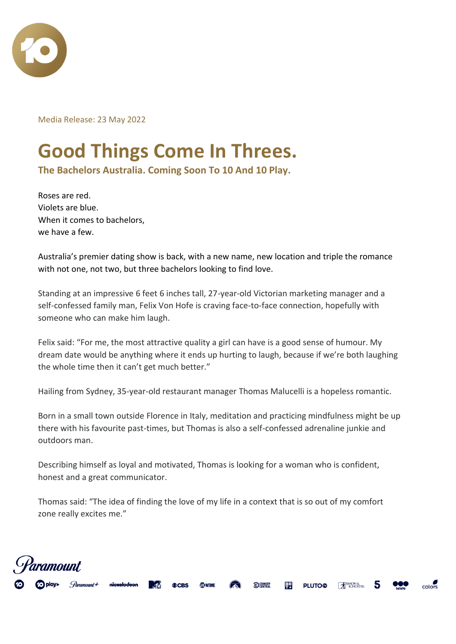

Media Release: 23 May 2022

## **Good Things Come In Threes.**

**The Bachelors Australia. Coming Soon To 10 And 10 Play.**

Roses are red. Violets are blue. When it comes to bachelors, we have a few.

Australia's premier dating show is back, with a new name, new location and triple the romance with not one, not two, but three bachelors looking to find love.

Standing at an impressive 6 feet 6 inches tall, 27-year-old Victorian marketing manager and a self-confessed family man, Felix Von Hofe is craving face-to-face connection, hopefully with someone who can make him laugh.

Felix said: "For me, the most attractive quality a girl can have is a good sense of humour. My dream date would be anything where it ends up hurting to laugh, because if we're both laughing the whole time then it can't get much better."

Hailing from Sydney, 35-year-old restaurant manager Thomas Malucelli is a hopeless romantic.

Born in a small town outside Florence in Italy, meditation and practicing mindfulness might be up there with his favourite past-times, but Thomas is also a self-confessed adrenaline junkie and outdoors man.

Describing himself as loyal and motivated, Thomas is looking for a woman who is confident, honest and a great communicator.

Thomas said: "The idea of finding the love of my life in a context that is so out of my comfort zone really excites me."

colors

**PLUTO®** 

SIMON &

C COMEDY

顊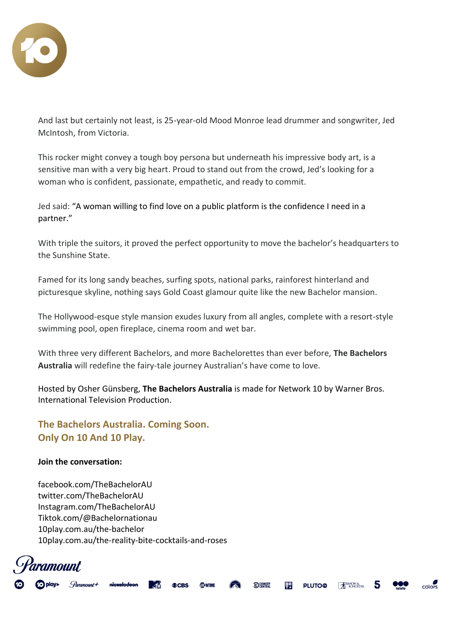

And last but certainly not least, is 25-year-old Mood Monroe lead drummer and songwriter, Jed McIntosh, from Victoria.

This rocker might convey a tough boy persona but underneath his impressive body art, is a sensitive man with a very big heart. Proud to stand out from the crowd, Jed's looking for a woman who is confident, passionate, empathetic, and ready to commit.

Jed said: "A woman willing to find love on a public platform is the confidence I need in a partner."

With triple the suitors, it proved the perfect opportunity to move the bachelor's headquarters to the Sunshine State.

Famed for its long sandy beaches, surfing spots, national parks, rainforest hinterland and picturesque skyline, nothing says Gold Coast glamour quite like the new Bachelor mansion.

The Hollywood-esque style mansion exudes luxury from all angles, complete with a resort-style swimming pool, open fireplace, cinema room and wet bar.

With three very different Bachelors, and more Bachelorettes than ever before, **The Bachelors Australia** will redefine the fairy-tale journey Australian's have come to love.

Hosted by Osher Günsberg, **The Bachelors Australia** is made for Network 10 by Warner Bros. International Television Production.

C COMEDY

驔

**PLUTO®** 

SIMON &

colors

**The Bachelors Australia. Coming Soon. Only On 10 And 10 Play.**

## **Join the conversation:**

[facebook.com/TheBachelorAU](https://www.facebook.com/BacheloretteAU) [twitter.com/TheBachelorAU](mailto:twitter.com/@BacheloretteAU) Instagram.com/TheBachelorAU [Tiktok.com/@Bachelornationau](mailto:Tiktok.com/@Bachelornationau) [10play.com.au/the-bachelor](https://tenplay.com.au/channel-ten/the-bachelor) [10play.com.au/the-reality-bite-cocktails-and-roses](https://10play.com.au/the-reality-bite-cocktails-and-roses)

nickelodeon

ramount.